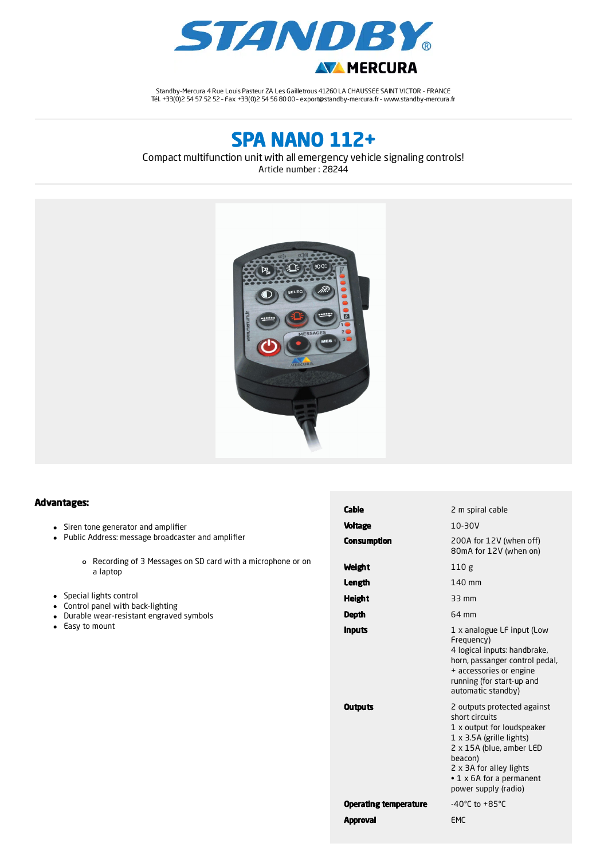

Standby-Mercura 4 Rue Louis Pasteur ZA Les Gailletrous 41260 LA CHAUSSEE SAINT VICTOR - FRANCE Tél. +33(0)2 54 57 52 52 – Fax +33(0)2 54 56 80 00 – export@standby-mercura.fr – www.standby-mercura.fr

# SPA NANO 112+

Compact multifunction unit with all emergency vehicle signaling controls! Article number : 28244



#### Advantages:

- Siren tone generator and amplifier
- Public Address: message broadcaster and amplifier
	- Recording of 3 Messages on SD card with a microphone or on a laptop
- Special lights control
- Control panel with back-lighting
- Durable wear-resistant engraved symbols
- Easy to mount

| Cable                        | 2 m spiral cable                                                                                                                                                                                                                           |  |  |
|------------------------------|--------------------------------------------------------------------------------------------------------------------------------------------------------------------------------------------------------------------------------------------|--|--|
| <b>Voltage</b>               | 10-30V                                                                                                                                                                                                                                     |  |  |
| <b>Consumption</b>           | 200A for 12V (when off)<br>80mA for 12V (when on)                                                                                                                                                                                          |  |  |
| Weight                       | 110g                                                                                                                                                                                                                                       |  |  |
| Length                       | 140 mm                                                                                                                                                                                                                                     |  |  |
| <b>Height</b>                | 33 mm                                                                                                                                                                                                                                      |  |  |
| Depth                        | 64 mm                                                                                                                                                                                                                                      |  |  |
| <b>Inputs</b>                | 1 x analogue LF input (Low<br>Frequency)<br>4 logical inputs: handbrake,<br>horn, passanger control pedal,<br>+ accessories or engine<br>running (for start-up and<br>automatic standby)                                                   |  |  |
| <b>Outputs</b>               | 2 outputs protected against<br>short circuits<br>1 x output for loudspeaker<br>$1 \times 3.5A$ (grille lights)<br>2 x 15A (blue, amber LED<br>beacon)<br>2 x 3A for alley lights<br>$\cdot$ 1 x 6A for a permanent<br>power supply (radio) |  |  |
| <b>Operating temperature</b> | -40 $^{\circ}$ C to +85 $^{\circ}$ C                                                                                                                                                                                                       |  |  |
| <b>Approval</b>              | EMC                                                                                                                                                                                                                                        |  |  |